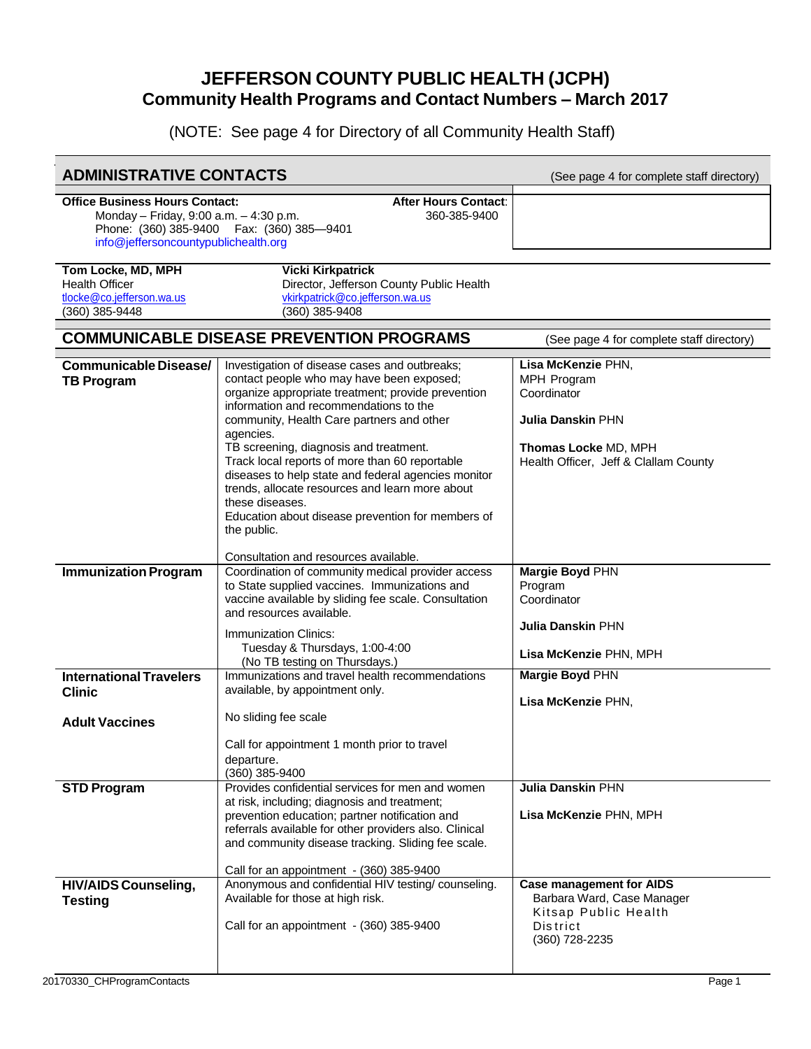## **JEFFERSON COUNTY PUBLIC HEALTH (JCPH) Community Health Programs and Contact Numbers – March 2017**

(NOTE: See page 4 for Directory of all Community Health Staff)

| <b>ADMINISTRATIVE CONTACTS</b>                                                                                                                                                                                |                                                                                                                                                                                                                                                                                                                                                                                                                                                                                                                                                   | (See page 4 for complete staff directory)                                                                                                     |  |  |  |
|---------------------------------------------------------------------------------------------------------------------------------------------------------------------------------------------------------------|---------------------------------------------------------------------------------------------------------------------------------------------------------------------------------------------------------------------------------------------------------------------------------------------------------------------------------------------------------------------------------------------------------------------------------------------------------------------------------------------------------------------------------------------------|-----------------------------------------------------------------------------------------------------------------------------------------------|--|--|--|
| After Hours Contact:<br><b>Office Business Hours Contact:</b><br>Monday - Friday, 9:00 a.m. - 4:30 p.m.<br>360-385-9400<br>Phone: (360) 385-9400  Fax: (360) 385-9401<br>info@jeffersoncountypublichealth.org |                                                                                                                                                                                                                                                                                                                                                                                                                                                                                                                                                   |                                                                                                                                               |  |  |  |
| Tom Locke, MD, MPH<br><b>Health Officer</b><br>tlocke@co.jefferson.wa.us<br>(360) 385-9448                                                                                                                    | <b>Vicki Kirkpatrick</b><br>Director, Jefferson County Public Health<br>vkirkpatrick@co.jefferson.wa.us<br>(360) 385-9408                                                                                                                                                                                                                                                                                                                                                                                                                         |                                                                                                                                               |  |  |  |
| <b>COMMUNICABLE DISEASE PREVENTION PROGRAMS</b><br>(See page 4 for complete staff directory)                                                                                                                  |                                                                                                                                                                                                                                                                                                                                                                                                                                                                                                                                                   |                                                                                                                                               |  |  |  |
| Communicable Disease/<br><b>TB Program</b>                                                                                                                                                                    | Investigation of disease cases and outbreaks;<br>contact people who may have been exposed;<br>organize appropriate treatment; provide prevention<br>information and recommendations to the<br>community, Health Care partners and other<br>agencies.<br>TB screening, diagnosis and treatment.<br>Track local reports of more than 60 reportable<br>diseases to help state and federal agencies monitor<br>trends, allocate resources and learn more about<br>these diseases.<br>Education about disease prevention for members of<br>the public. | Lisa McKenzie PHN,<br>MPH Program<br>Coordinator<br><b>Julia Danskin PHN</b><br>Thomas Locke MD, MPH<br>Health Officer, Jeff & Clallam County |  |  |  |
| <b>Immunization Program</b>                                                                                                                                                                                   | Consultation and resources available.<br>Coordination of community medical provider access                                                                                                                                                                                                                                                                                                                                                                                                                                                        | Margie Boyd PHN                                                                                                                               |  |  |  |
|                                                                                                                                                                                                               | to State supplied vaccines. Immunizations and<br>vaccine available by sliding fee scale. Consultation<br>and resources available.<br>Immunization Clinics:<br>Tuesday & Thursdays, 1:00-4:00<br>(No TB testing on Thursdays.)                                                                                                                                                                                                                                                                                                                     | Program<br>Coordinator<br><b>Julia Danskin PHN</b><br>Lisa McKenzie PHN, MPH                                                                  |  |  |  |
| <b>International Travelers</b><br><b>Clinic</b>                                                                                                                                                               | Immunizations and travel health recommendations<br>available, by appointment only.                                                                                                                                                                                                                                                                                                                                                                                                                                                                | Margie Boyd PHN<br>Lisa McKenzie PHN,                                                                                                         |  |  |  |
| <b>Adult Vaccines</b>                                                                                                                                                                                         | No sliding fee scale                                                                                                                                                                                                                                                                                                                                                                                                                                                                                                                              |                                                                                                                                               |  |  |  |
|                                                                                                                                                                                                               | Call for appointment 1 month prior to travel<br>departure.<br>$(360)$ 385-9400                                                                                                                                                                                                                                                                                                                                                                                                                                                                    |                                                                                                                                               |  |  |  |
| <b>STD Program</b>                                                                                                                                                                                            | Provides confidential services for men and women<br>at risk, including; diagnosis and treatment;<br>prevention education; partner notification and<br>referrals available for other providers also. Clinical<br>and community disease tracking. Sliding fee scale.<br>Call for an appointment - (360) 385-9400                                                                                                                                                                                                                                    | <b>Julia Danskin PHN</b><br>Lisa McKenzie PHN, MPH                                                                                            |  |  |  |
| <b>HIV/AIDS Counseling,</b><br><b>Testing</b>                                                                                                                                                                 | Anonymous and confidential HIV testing/counseling.<br>Available for those at high risk.<br>Call for an appointment - (360) 385-9400                                                                                                                                                                                                                                                                                                                                                                                                               | <b>Case management for AIDS</b><br>Barbara Ward, Case Manager<br>Kitsap Public Health<br><b>District</b><br>(360) 728-2235                    |  |  |  |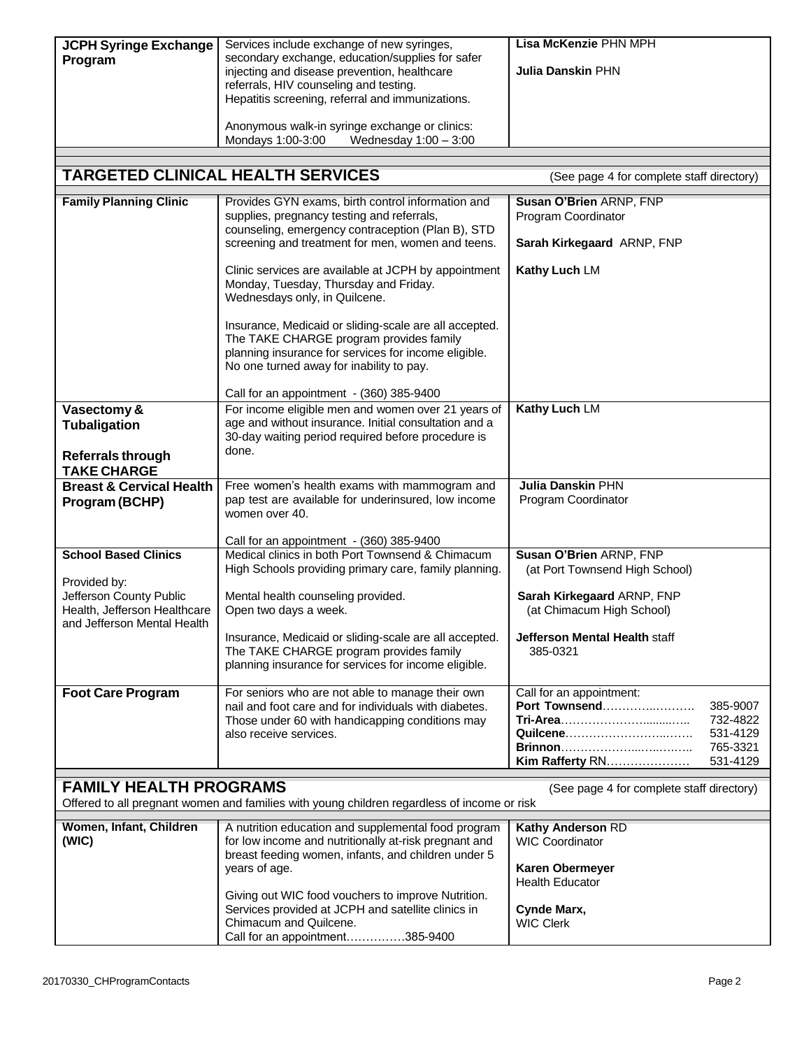| <b>JCPH Syringe Exchange</b><br>Program                                                                                                                                   | Services include exchange of new syringes,<br>secondary exchange, education/supplies for safer<br>injecting and disease prevention, healthcare<br>referrals, HIV counseling and testing.<br>Hepatitis screening, referral and immunizations.<br>Anonymous walk-in syringe exchange or clinics:<br>Mondays 1:00-3:00<br>Wednesday $1:00 - 3:00$ | Lisa McKenzie PHN MPH<br><b>Julia Danskin PHN</b>                                                                 |  |  |  |
|---------------------------------------------------------------------------------------------------------------------------------------------------------------------------|------------------------------------------------------------------------------------------------------------------------------------------------------------------------------------------------------------------------------------------------------------------------------------------------------------------------------------------------|-------------------------------------------------------------------------------------------------------------------|--|--|--|
|                                                                                                                                                                           |                                                                                                                                                                                                                                                                                                                                                |                                                                                                                   |  |  |  |
|                                                                                                                                                                           | <b>TARGETED CLINICAL HEALTH SERVICES</b>                                                                                                                                                                                                                                                                                                       | (See page 4 for complete staff directory)                                                                         |  |  |  |
| <b>Family Planning Clinic</b>                                                                                                                                             | Provides GYN exams, birth control information and<br>supplies, pregnancy testing and referrals,<br>counseling, emergency contraception (Plan B), STD<br>screening and treatment for men, women and teens.                                                                                                                                      | Susan O'Brien ARNP, FNP<br>Program Coordinator<br>Sarah Kirkegaard ARNP, FNP                                      |  |  |  |
|                                                                                                                                                                           | Clinic services are available at JCPH by appointment<br>Monday, Tuesday, Thursday and Friday.<br>Wednesdays only, in Quilcene.                                                                                                                                                                                                                 | Kathy Luch LM                                                                                                     |  |  |  |
|                                                                                                                                                                           | Insurance, Medicaid or sliding-scale are all accepted.<br>The TAKE CHARGE program provides family<br>planning insurance for services for income eligible.<br>No one turned away for inability to pay.                                                                                                                                          |                                                                                                                   |  |  |  |
|                                                                                                                                                                           | Call for an appointment - (360) 385-9400                                                                                                                                                                                                                                                                                                       |                                                                                                                   |  |  |  |
| Vasectomy &<br><b>Tubaligation</b><br>Referrals through                                                                                                                   | For income eligible men and women over 21 years of<br>age and without insurance. Initial consultation and a<br>30-day waiting period required before procedure is<br>done.                                                                                                                                                                     | Kathy Luch LM                                                                                                     |  |  |  |
| <b>TAKE CHARGE</b>                                                                                                                                                        |                                                                                                                                                                                                                                                                                                                                                |                                                                                                                   |  |  |  |
| <b>Breast &amp; Cervical Health</b><br>Program (BCHP)                                                                                                                     | Free women's health exams with mammogram and<br>pap test are available for underinsured, low income<br>women over 40.                                                                                                                                                                                                                          | <b>Julia Danskin PHN</b><br>Program Coordinator                                                                   |  |  |  |
| <b>School Based Clinics</b><br>Provided by:                                                                                                                               | Call for an appointment - (360) 385-9400<br>Medical clinics in both Port Townsend & Chimacum<br>High Schools providing primary care, family planning.                                                                                                                                                                                          | Susan O'Brien ARNP, FNP<br>(at Port Townsend High School)                                                         |  |  |  |
| Jefferson County Public<br>Health, Jefferson Healthcare<br>and Jefferson Mental Health                                                                                    | Mental health counseling provided.<br>Open two days a week.                                                                                                                                                                                                                                                                                    | Sarah Kirkegaard ARNP, FNP<br>(at Chimacum High School)                                                           |  |  |  |
|                                                                                                                                                                           | Insurance, Medicaid or sliding-scale are all accepted.<br>The TAKE CHARGE program provides family<br>planning insurance for services for income eligible.                                                                                                                                                                                      | <b>Jefferson Mental Health staff</b><br>385-0321                                                                  |  |  |  |
| <b>Foot Care Program</b>                                                                                                                                                  | For seniors who are not able to manage their own<br>nail and foot care and for individuals with diabetes.<br>Those under 60 with handicapping conditions may<br>also receive services.                                                                                                                                                         | Call for an appointment:<br>Port Townsend<br>385-9007<br>732-4822<br>Quilcene<br>531-4129<br>765-3321<br>531-4129 |  |  |  |
| <b>FAMILY HEALTH PROGRAMS</b><br>(See page 4 for complete staff directory)<br>Offered to all pregnant women and families with young children regardless of income or risk |                                                                                                                                                                                                                                                                                                                                                |                                                                                                                   |  |  |  |
| Women, Infant, Children<br>(WIC)                                                                                                                                          | A nutrition education and supplemental food program<br>for low income and nutritionally at-risk pregnant and<br>breast feeding women, infants, and children under 5<br>years of age.                                                                                                                                                           | Kathy Anderson RD<br><b>WIC Coordinator</b><br>Karen Obermeyer<br><b>Health Educator</b>                          |  |  |  |
|                                                                                                                                                                           | Giving out WIC food vouchers to improve Nutrition.<br>Services provided at JCPH and satellite clinics in<br>Chimacum and Quilcene.<br>Call for an appointment385-9400                                                                                                                                                                          | Cynde Marx,<br><b>WIC Clerk</b>                                                                                   |  |  |  |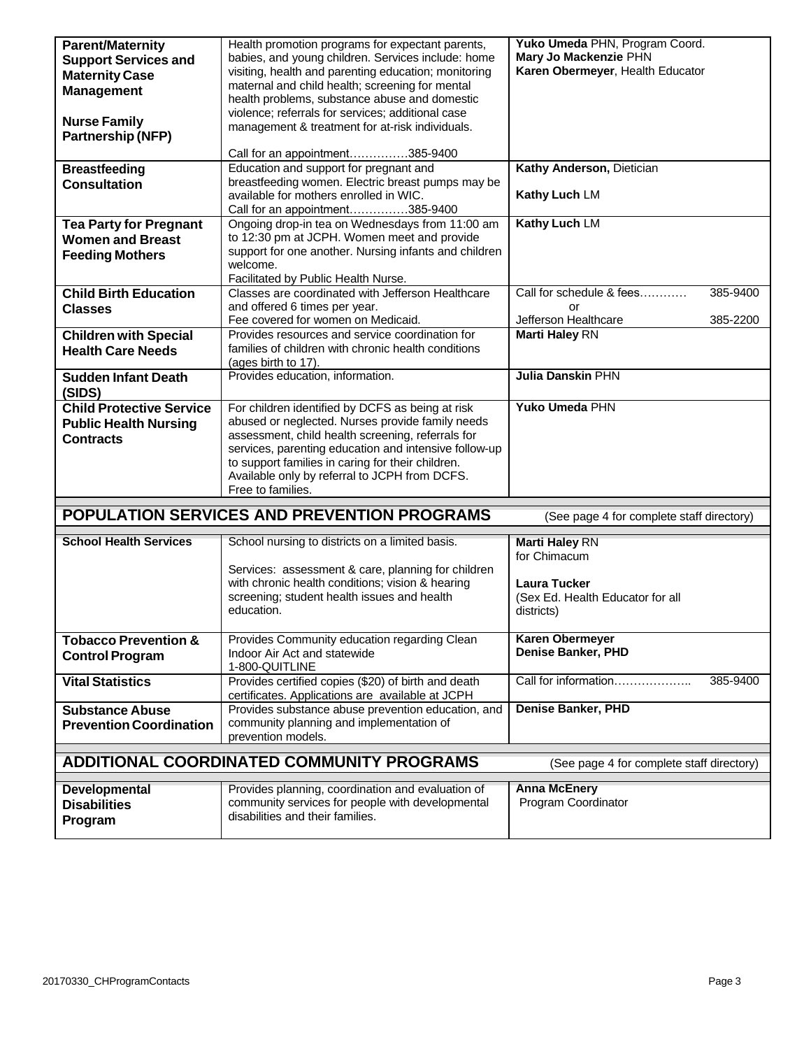| <b>Parent/Maternity</b>         | Health promotion programs for expectant parents,                                         | Yuko Umeda PHN, Program Coord.            |  |
|---------------------------------|------------------------------------------------------------------------------------------|-------------------------------------------|--|
|                                 | Mary Jo Mackenzie PHN<br>babies, and young children. Services include: home              |                                           |  |
| <b>Support Services and</b>     | Karen Obermeyer, Health Educator<br>visiting, health and parenting education; monitoring |                                           |  |
| <b>Maternity Case</b>           | maternal and child health; screening for mental                                          |                                           |  |
| <b>Management</b>               | health problems, substance abuse and domestic                                            |                                           |  |
|                                 | violence; referrals for services; additional case                                        |                                           |  |
| <b>Nurse Family</b>             | management & treatment for at-risk individuals.                                          |                                           |  |
| Partnership (NFP)               |                                                                                          |                                           |  |
|                                 |                                                                                          |                                           |  |
|                                 | Call for an appointment385-9400                                                          |                                           |  |
| <b>Breastfeeding</b>            | Education and support for pregnant and                                                   | Kathy Anderson, Dietician                 |  |
| <b>Consultation</b>             | breastfeeding women. Electric breast pumps may be                                        |                                           |  |
|                                 | available for mothers enrolled in WIC.                                                   | Kathy Luch LM                             |  |
|                                 | Call for an appointment385-9400                                                          |                                           |  |
| <b>Tea Party for Pregnant</b>   | Ongoing drop-in tea on Wednesdays from 11:00 am                                          | Kathy Luch LM                             |  |
| <b>Women and Breast</b>         | to 12:30 pm at JCPH. Women meet and provide                                              |                                           |  |
| <b>Feeding Mothers</b>          | support for one another. Nursing infants and children                                    |                                           |  |
|                                 | welcome.                                                                                 |                                           |  |
|                                 | Facilitated by Public Health Nurse.                                                      |                                           |  |
| <b>Child Birth Education</b>    | Classes are coordinated with Jefferson Healthcare                                        | Call for schedule & fees<br>385-9400      |  |
| <b>Classes</b>                  | and offered 6 times per year.                                                            | or                                        |  |
|                                 | Fee covered for women on Medicaid.                                                       | Jefferson Healthcare<br>385-2200          |  |
| <b>Children with Special</b>    | Provides resources and service coordination for                                          | <b>Marti Haley RN</b>                     |  |
| <b>Health Care Needs</b>        | families of children with chronic health conditions                                      |                                           |  |
|                                 | (ages birth to 17).                                                                      |                                           |  |
| <b>Sudden Infant Death</b>      | Provides education, information.                                                         | <b>Julia Danskin PHN</b>                  |  |
| (SIDS)                          |                                                                                          |                                           |  |
| <b>Child Protective Service</b> | For children identified by DCFS as being at risk                                         | Yuko Umeda PHN                            |  |
| <b>Public Health Nursing</b>    | abused or neglected. Nurses provide family needs                                         |                                           |  |
| <b>Contracts</b>                | assessment, child health screening, referrals for                                        |                                           |  |
|                                 |                                                                                          |                                           |  |
|                                 |                                                                                          |                                           |  |
|                                 | services, parenting education and intensive follow-up                                    |                                           |  |
|                                 | to support families in caring for their children.                                        |                                           |  |
|                                 | Available only by referral to JCPH from DCFS.<br>Free to families.                       |                                           |  |
|                                 |                                                                                          |                                           |  |
|                                 | <b>POPULATION SERVICES AND PREVENTION PROGRAMS</b>                                       | (See page 4 for complete staff directory) |  |
|                                 |                                                                                          |                                           |  |
| <b>School Health Services</b>   | School nursing to districts on a limited basis.                                          | <b>Marti Haley RN</b>                     |  |
|                                 |                                                                                          | for Chimacum                              |  |
|                                 | Services: assessment & care, planning for children                                       |                                           |  |
|                                 | with chronic health conditions; vision & hearing                                         | <b>Laura Tucker</b>                       |  |
|                                 | screening; student health issues and health                                              | (Sex Ed. Health Educator for all          |  |
|                                 | education.                                                                               | districts)                                |  |
|                                 |                                                                                          |                                           |  |
| <b>Tobacco Prevention &amp;</b> | Provides Community education regarding Clean                                             | <b>Karen Obermeyer</b>                    |  |
| <b>Control Program</b>          | Indoor Air Act and statewide                                                             | <b>Denise Banker, PHD</b>                 |  |
|                                 | 1-800-QUITLINE                                                                           |                                           |  |
| <b>Vital Statistics</b>         | Provides certified copies (\$20) of birth and death                                      | Call for information<br>385-9400          |  |
|                                 | certificates. Applications are available at JCPH                                         |                                           |  |
| <b>Substance Abuse</b>          | Provides substance abuse prevention education, and                                       | Denise Banker, PHD                        |  |
| <b>Prevention Coordination</b>  | community planning and implementation of                                                 |                                           |  |
|                                 | prevention models.                                                                       |                                           |  |
|                                 |                                                                                          |                                           |  |
|                                 | <b>ADDITIONAL COORDINATED COMMUNITY PROGRAMS</b>                                         | (See page 4 for complete staff directory) |  |
|                                 |                                                                                          |                                           |  |
| Developmental                   | Provides planning, coordination and evaluation of                                        | <b>Anna McEnery</b>                       |  |
| <b>Disabilities</b><br>Program  | community services for people with developmental<br>disabilities and their families.     | Program Coordinator                       |  |